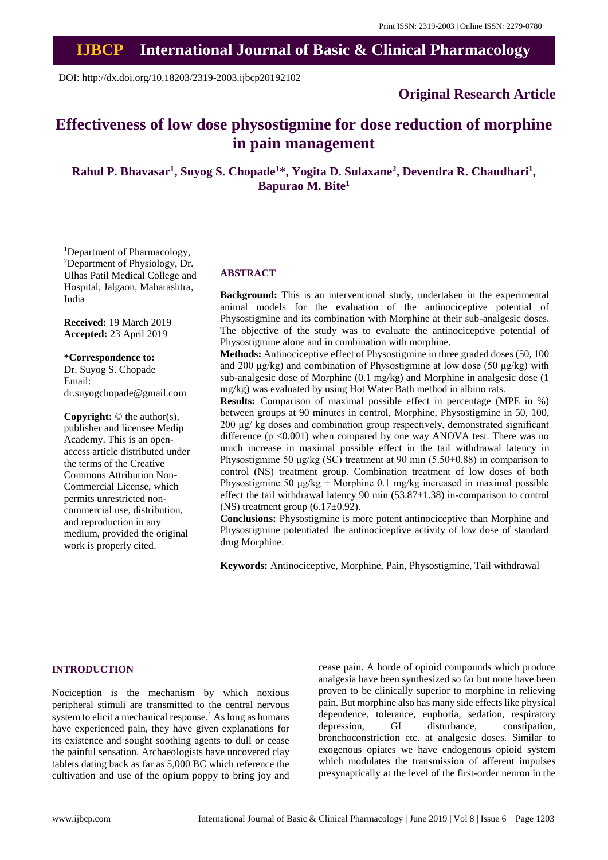# **IJBCP International Journal of Basic & Clinical Pharmacology**

DOI: http://dx.doi.org/10.18203/2319-2003.ijbcp20192102

## **Original Research Article**

## **Effectiveness of low dose physostigmine for dose reduction of morphine in pain management**

**Rahul P. Bhavasar<sup>1</sup> , Suyog S. Chopade<sup>1</sup>\*, Yogita D. Sulaxane<sup>2</sup> , Devendra R. Chaudhari<sup>1</sup> , Bapurao M. Bite<sup>1</sup>**

<sup>1</sup>Department of Pharmacology, <sup>2</sup>Department of Physiology, Dr. Ulhas Patil Medical College and Hospital, Jalgaon, Maharashtra, India

**Received:** 19 March 2019 **Accepted:** 23 April 2019

**\*Correspondence to:**

Dr. Suyog S. Chopade Email: dr.suyogchopade@gmail.com

**Copyright:** © the author(s), publisher and licensee Medip Academy. This is an openaccess article distributed under the terms of the Creative Commons Attribution Non-Commercial License, which permits unrestricted noncommercial use, distribution, and reproduction in any medium, provided the original work is properly cited.

## **ABSTRACT**

**Background:** This is an interventional study, undertaken in the experimental animal models for the evaluation of the antinociceptive potential of Physostigmine and its combination with Morphine at their sub-analgesic doses. The objective of the study was to evaluate the antinociceptive potential of Physostigmine alone and in combination with morphine.

**Methods:** Antinociceptive effect of Physostigmine in three graded doses (50, 100 and 200 μg/kg) and combination of Physostigmine at low dose (50 μg/kg) with sub-analgesic dose of Morphine (0.1 mg/kg) and Morphine in analgesic dose (1 mg/kg) was evaluated by using Hot Water Bath method in albino rats.

**Results:** Comparison of maximal possible effect in percentage (MPE in %) between groups at 90 minutes in control, Morphine, Physostigmine in 50, 100, 200 μg/ kg doses and combination group respectively, demonstrated significant difference  $(p \le 0.001)$  when compared by one way ANOVA test. There was no much increase in maximal possible effect in the tail withdrawal latency in Physostigmine 50 μg/kg (SC) treatment at 90 min (5.50±0.88) in comparison to control (NS) treatment group. Combination treatment of low doses of both Physostigmine 50  $\mu$ g/kg + Morphine 0.1 mg/kg increased in maximal possible effect the tail withdrawal latency 90 min  $(53.87 \pm 1.38)$  in-comparison to control (NS) treatment group  $(6.17\pm0.92)$ .

**Conclusions:** Physostigmine is more potent antinociceptive than Morphine and Physostigmine potentiated the antinociceptive activity of low dose of standard drug Morphine.

**Keywords:** Antinociceptive, Morphine, Pain, Physostigmine, Tail withdrawal

#### **INTRODUCTION**

Nociception is the mechanism by which noxious peripheral stimuli are transmitted to the central nervous system to elicit a mechanical response.<sup>1</sup> As long as humans have experienced pain, they have given explanations for its existence and sought soothing agents to dull or cease the painful sensation. Archaeologists have uncovered clay tablets dating back as far as 5,000 BC which reference the cultivation and use of the opium poppy to bring joy and cease pain. A horde of opioid compounds which produce analgesia have been synthesized so far but none have been proven to be clinically superior to morphine in relieving pain. But morphine also has many side effects like physical dependence, tolerance, euphoria, sedation, respiratory depression. GI disturbance, constipation, bronchoconstriction etc. at analgesic doses. Similar to exogenous opiates we have endogenous opioid system which modulates the transmission of afferent impulses presynaptically at the level of the first-order neuron in the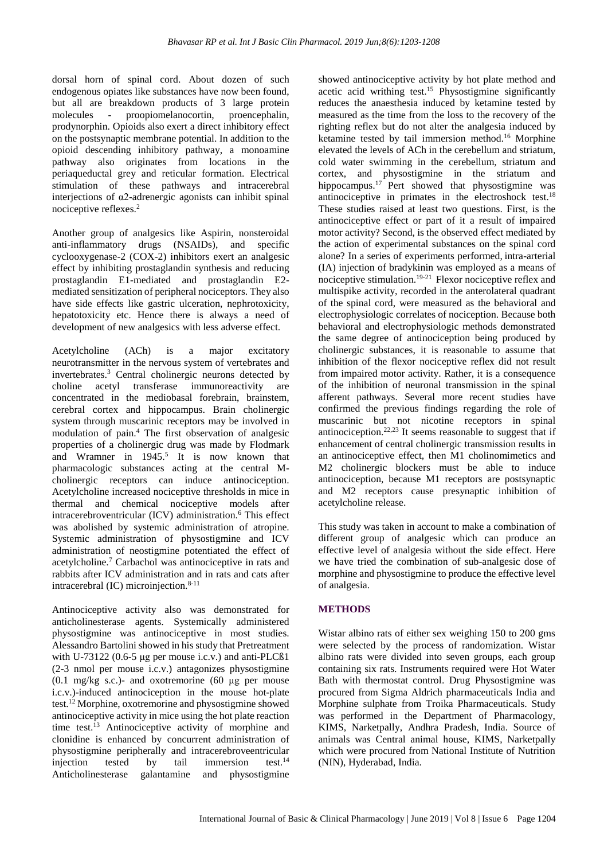dorsal horn of spinal cord. About dozen of such endogenous opiates like substances have now been found, but all are breakdown products of 3 large protein molecules - proopiomelanocortin, proencephalin, prodynorphin. Opioids also exert a direct inhibitory effect on the postsynaptic membrane potential. In addition to the opioid descending inhibitory pathway, a monoamine pathway also originates from locations in the periaqueductal grey and reticular formation. Electrical stimulation of these pathways and intracerebral interjections of  $\alpha$ 2-adrenergic agonists can inhibit spinal nociceptive reflexes.<sup>2</sup>

Another group of analgesics like Aspirin, nonsteroidal anti-inflammatory drugs (NSAIDs), and specific cyclooxygenase-2 (COX-2) inhibitors exert an analgesic effect by inhibiting prostaglandin synthesis and reducing prostaglandin E1-mediated and prostaglandin E2 mediated sensitization of peripheral nociceptors. They also have side effects like gastric ulceration, nephrotoxicity, hepatotoxicity etc. Hence there is always a need of development of new analgesics with less adverse effect.

Acetylcholine (ACh) is a major excitatory neurotransmitter in the nervous system of vertebrates and invertebrates.<sup>3</sup> Central cholinergic neurons detected by choline acetyl transferase immunoreactivity are concentrated in the mediobasal forebrain, brainstem, cerebral cortex and hippocampus. Brain cholinergic system through muscarinic receptors may be involved in modulation of pain.<sup>4</sup> The first observation of analgesic properties of a cholinergic drug was made by Flodmark and Wramner in  $1945$ .<sup>5</sup> It is now known that pharmacologic substances acting at the central Mcholinergic receptors can induce antinociception. Acetylcholine increased nociceptive thresholds in mice in thermal and chemical nociceptive models after intracerebroventricular (ICV) administration.<sup>6</sup> This effect was abolished by systemic administration of atropine. Systemic administration of physostigmine and ICV administration of neostigmine potentiated the effect of acetylcholine.<sup>7</sup> Carbachol was antinociceptive in rats and rabbits after ICV administration and in rats and cats after intracerebral (IC) microinjection.8-11

Antinociceptive activity also was demonstrated for anticholinesterase agents. Systemically administered physostigmine was antinociceptive in most studies. Alessandro Bartolini showed in his study that Pretreatment with U-73122 (0.6-5 μg per mouse i.c.v.) and anti-PLCß1 (2-3 nmol per mouse i.c.v.) antagonizes physostigmine  $(0.1 \text{ mg/kg s.c.})$ - and oxotremorine  $(60 \text{ µg per mouse})$ i.c.v.)-induced antinociception in the mouse hot-plate test. <sup>12</sup> Morphine, oxotremorine and physostigmine showed antinociceptive activity in mice using the hot plate reaction time test.<sup>13</sup> Antinociceptive activity of morphine and clonidine is enhanced by concurrent administration of physostigmine peripherally and intracerebroveentricular injection tested by tail immersion test. $14$ Anticholinesterase galantamine and physostigmine showed antinociceptive activity by hot plate method and acetic acid writhing test. <sup>15</sup> Physostigmine significantly reduces the anaesthesia induced by ketamine tested by measured as the time from the loss to the recovery of the righting reflex but do not alter the analgesia induced by ketamine tested by tail immersion method. <sup>16</sup> Morphine elevated the levels of ACh in the cerebellum and striatum, cold water swimming in the cerebellum, striatum and cortex, and physostigmine in the striatum and hippocampus.<sup>17</sup> Pert showed that physostigmine was antinociceptive in primates in the electroshock test.<sup>18</sup> These studies raised at least two questions. First, is the antinociceptive effect or part of it a result of impaired motor activity? Second, is the observed effect mediated by the action of experimental substances on the spinal cord alone? In a series of experiments performed, intra-arterial (IA) injection of bradykinin was employed as a means of nociceptive stimulation.19-21 Flexor nociceptive reflex and multispike activity, recorded in the anterolateral quadrant of the spinal cord, were measured as the behavioral and electrophysiologic correlates of nociception. Because both behavioral and electrophysiologic methods demonstrated the same degree of antinociception being produced by cholinergic substances, it is reasonable to assume that inhibition of the flexor nociceptive reflex did not result from impaired motor activity. Rather, it is a consequence of the inhibition of neuronal transmission in the spinal afferent pathways. Several more recent studies have confirmed the previous findings regarding the role of muscarinic but not nicotine receptors in spinal antinociception.22,23 It seems reasonable to suggest that if enhancement of central cholinergic transmission results in an antinociceptive effect, then M1 cholinomimetics and M2 cholinergic blockers must be able to induce antinociception, because M1 receptors are postsynaptic and M2 receptors cause presynaptic inhibition of acetylcholine release.

This study was taken in account to make a combination of different group of analgesic which can produce an effective level of analgesia without the side effect. Here we have tried the combination of sub-analgesic dose of morphine and physostigmine to produce the effective level of analgesia.

#### **METHODS**

Wistar albino rats of either sex weighing 150 to 200 gms were selected by the process of randomization. Wistar albino rats were divided into seven groups, each group containing six rats. Instruments required were Hot Water Bath with thermostat control. Drug Physostigmine was procured from Sigma Aldrich pharmaceuticals India and Morphine sulphate from Troika Pharmaceuticals. Study was performed in the Department of Pharmacology, KIMS, Narketpally, Andhra Pradesh, India. Source of animals was Central animal house, KIMS, Narketpally which were procured from National Institute of Nutrition (NIN), Hyderabad, India.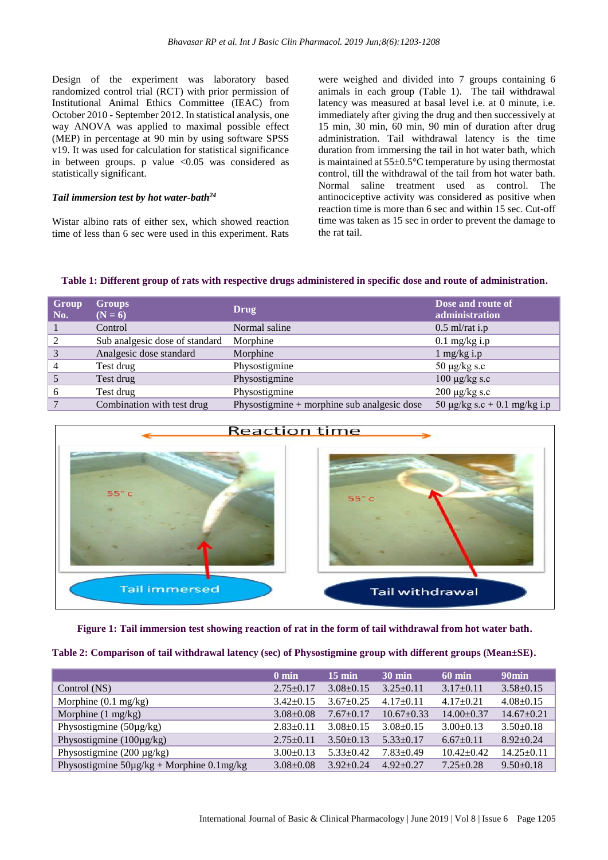Design of the experiment was laboratory based randomized control trial (RCT) with prior permission of Institutional Animal Ethics Committee (IEAC) from October 2010 - September 2012. In statistical analysis, one way ANOVA was applied to maximal possible effect (MEP) in percentage at 90 min by using software SPSS v19. It was used for calculation for statistical significance in between groups. p value  $\langle 0.05 \rangle$  was considered as statistically significant.

#### *Tail immersion test by hot water-bath<sup>24</sup>*

Wistar albino rats of either sex, which showed reaction time of less than 6 sec were used in this experiment. Rats were weighed and divided into 7 groups containing 6 animals in each group (Table 1). The tail withdrawal latency was measured at basal level i.e. at 0 minute, i.e. immediately after giving the drug and then successively at 15 min, 30 min, 60 min, 90 min of duration after drug administration. Tail withdrawal latency is the time duration from immersing the tail in hot water bath, which is maintained at 55±0.5°C temperature by using thermostat control, till the withdrawal of the tail from hot water bath. Normal saline treatment used as control. The antinociceptive activity was considered as positive when reaction time is more than 6 sec and within 15 sec. Cut-off time was taken as 15 sec in order to prevent the damage to the rat tail.

#### **Table 1: Different group of rats with respective drugs administered in specific dose and route of administration.**

| Group<br>No. | <b>Groups</b><br>$(N = 6)$     | Drug                                          | Dose and route of<br>administration |
|--------------|--------------------------------|-----------------------------------------------|-------------------------------------|
|              | Control                        | Normal saline                                 | $0.5$ ml/rat i.p                    |
|              | Sub analgesic dose of standard | Morphine                                      | $0.1$ mg/kg i.p                     |
| 3            | Analgesic dose standard        | Morphine                                      | $1 \text{ mg/kg}$ i.p               |
| 4            | Test drug                      | Physostigmine                                 | 50 $\mu$ g/kg s.c                   |
|              | Test drug                      | Physostigmine                                 | $100 \mu g/kg$ s.c                  |
| h            | Test drug                      | Physostigmine                                 | $200 \mu g/kg$ s.c                  |
|              | Combination with test drug     | Physostigmine $+$ morphine sub analgesic dose | 50 $\mu$ g/kg s.c + 0.1 mg/kg i.p   |



**Figure 1: Tail immersion test showing reaction of rat in the form of tail withdrawal from hot water bath.**

|  |  | Table 2: Comparison of tail withdrawal latency (sec) of Physostigmine group with different groups (Mean±SE). |  |
|--|--|--------------------------------------------------------------------------------------------------------------|--|
|--|--|--------------------------------------------------------------------------------------------------------------|--|

|                                                | $0 \text{ min}$ | $15 \text{ min}$ | $30 \text{ min}$ | 60 min         | 90 <sub>min</sub> |
|------------------------------------------------|-----------------|------------------|------------------|----------------|-------------------|
| Control (NS)                                   | $2.75+0.17$     | $3.08 \pm 0.15$  | $3.25+0.11$      | $3.17+0.11$    | $3.58 \pm 0.15$   |
| Morphine $(0.1 \text{ mg/kg})$                 | $3.42 \pm 0.15$ | $3.67 \pm 0.25$  | $4.17+0.11$      | $4.17+0.21$    | $4.08 \pm 0.15$   |
| Morphine (1 mg/kg)                             | $3.08 + 0.08$   | $7.67+0.17$      | $10.67 \pm 0.33$ | $14.00+0.37$   | $14.67+0.21$      |
| Physostigmine $(50\mu g/kg)$                   | $2.83 \pm 0.11$ | $3.08 \pm 0.15$  | $3.08 \pm 0.15$  | $3.00+0.13$    | $3.50+0.18$       |
| Physostigmine $(100\mu g/kg)$                  | $2.75+0.11$     | $3.50+0.13$      | $5.33+0.17$      | $6.67+0.11$    | $8.92+0.24$       |
| Physostigmine $(200 \mu g/kg)$                 | $3.00+0.13$     | $5.33 + 0.42$    | $7.83 + 0.49$    | $10.42 + 0.42$ | $14.25 \pm 0.11$  |
| Physostigmine $50\mu g/kg + Morphine 0.1mg/kg$ | $3.08 + 0.08$   | $3.92 \pm 0.24$  | $4.92 \pm 0.27$  | $7.25 + 0.28$  | $9.50 \pm 0.18$   |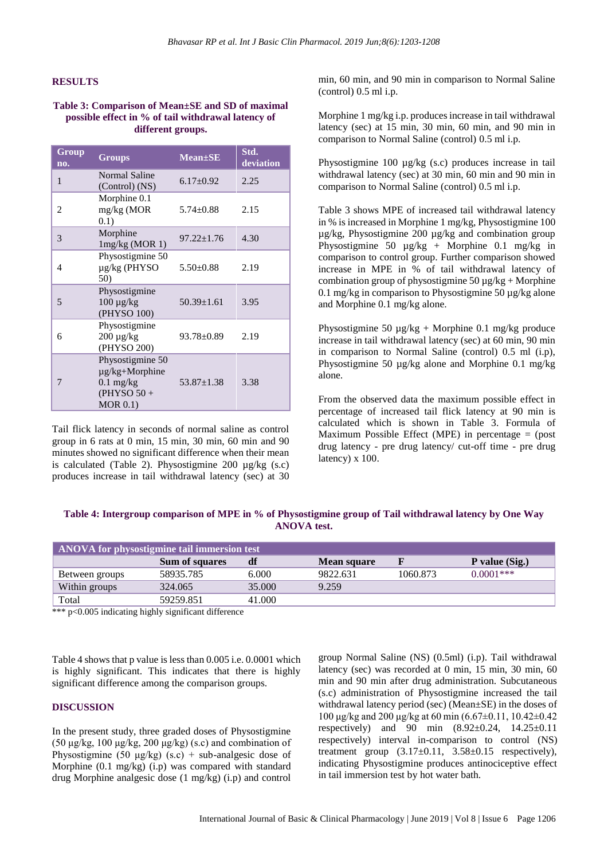#### **RESULTS**

#### **Table 3: Comparison of Mean±SE and SD of maximal possible effect in % of tail withdrawal latency of different groups.**

| Group<br>no. | <b>Groups</b>                                                                         | $Mean \pm SE$    | Std.<br>deviation |
|--------------|---------------------------------------------------------------------------------------|------------------|-------------------|
| $\mathbf{1}$ | Normal Saline<br>(Control) (NS)                                                       | $6.17 \pm 0.92$  | 2.25              |
| 2            | Morphine 0.1<br>mg/kg (MOR<br>0.1)                                                    | $5.74 \pm 0.88$  | 2.15              |
| 3            | Morphine<br>1mg/kg (MOR 1)                                                            | $97.22 \pm 1.76$ | 4.30              |
| 4            | Physostigmine 50<br>µg/kg (PHYSO<br>50)                                               | $5.50 \pm 0.88$  | 2.19              |
| 5            | Physostigmine<br>$100 \mu g/kg$<br>(PHYSO 100)                                        | $50.39 \pm 1.61$ | 3.95              |
| 6            | Physostigmine<br>$200 \mu g/kg$<br>(PHYSO 200)                                        | 93.78±0.89       | 2.19              |
| 7            | Physostigmine 50<br>$\mu$ g/kg+Morphine<br>$0.1$ mg/kg<br>$(PHYSO 50 +$<br>$MOR$ 0.1) | $53.87 \pm 1.38$ | 3.38              |

Tail flick latency in seconds of normal saline as control group in 6 rats at 0 min, 15 min, 30 min, 60 min and 90 minutes showed no significant difference when their mean is calculated (Table 2). Physostigmine 200  $\mu$ g/kg (s.c) produces increase in tail withdrawal latency (sec) at 30 min, 60 min, and 90 min in comparison to Normal Saline (control) 0.5 ml i.p.

Morphine 1 mg/kg i.p. produces increase in tail withdrawal latency (sec) at 15 min, 30 min, 60 min, and 90 min in comparison to Normal Saline (control) 0.5 ml i.p.

Physostigmine 100  $\mu$ g/kg (s.c) produces increase in tail withdrawal latency (sec) at 30 min, 60 min and 90 min in comparison to Normal Saline (control) 0.5 ml i.p.

Table 3 shows MPE of increased tail withdrawal latency in % is increased in Morphine 1 mg/kg, Physostigmine 100 µg/kg, Physostigmine 200 µg/kg and combination group Physostigmine 50  $\mu$ g/kg + Morphine 0.1 mg/kg in comparison to control group. Further comparison showed increase in MPE in % of tail withdrawal latency of combination group of physostigmine  $50 \mu g/kg + Morphine$ 0.1 mg/kg in comparison to Physostigmine 50  $\mu$ g/kg alone and Morphine 0.1 mg/kg alone.

Physostigmine 50 µg/kg + Morphine 0.1 mg/kg produce increase in tail withdrawal latency (sec) at 60 min, 90 min in comparison to Normal Saline (control) 0.5 ml (i.p), Physostigmine 50 µg/kg alone and Morphine 0.1 mg/kg alone.

From the observed data the maximum possible effect in percentage of increased tail flick latency at 90 min is calculated which is shown in Table 3. Formula of Maximum Possible Effect (MPE) in percentage  $=$  (post drug latency - pre drug latency/ cut-off time - pre drug latency) x 100.

## **Table 4: Intergroup comparison of MPE in % of Physostigmine group of Tail withdrawal latency by One Way ANOVA test.**

| ANOVA for physostigmine tail immersion test |                |        |                    |          |                |  |  |
|---------------------------------------------|----------------|--------|--------------------|----------|----------------|--|--|
|                                             | Sum of squares | df     | <b>Mean square</b> |          | P value (Sig.) |  |  |
| Between groups                              | 58935.785      | 6.000  | 9822.631           | 1060.873 | $0.0001$ ***   |  |  |
| Within groups                               | 324.065        | 35,000 | 9.259              |          |                |  |  |
| Total                                       | 59259.851      | 41.000 |                    |          |                |  |  |

\*\*\* p<0.005 indicating highly significant difference

Table 4 shows that p value is less than 0.005 i.e. 0.0001 which is highly significant. This indicates that there is highly significant difference among the comparison groups.

#### **DISCUSSION**

In the present study, three graded doses of Physostigmine (50 μg/kg, 100 μg/kg, 200 μg/kg) (s.c) and combination of Physostigmine (50  $\mu$ g/kg) (s.c) + sub-analgesic dose of Morphine (0.1 mg/kg) (i.p) was compared with standard drug Morphine analgesic dose (1 mg/kg) (i.p) and control

group Normal Saline (NS) (0.5ml) (i.p). Tail withdrawal latency (sec) was recorded at 0 min, 15 min, 30 min, 60 min and 90 min after drug administration. Subcutaneous (s.c) administration of Physostigmine increased the tail withdrawal latency period (sec) (Mean±SE) in the doses of 100 μg/kg and 200 μg/kg at 60 min (6.67±0.11, 10.42±0.42 respectively) and 90 min  $(8.92 \pm 0.24, 14.25 \pm 0.11)$ respectively) interval in-comparison to control (NS) treatment group  $(3.17\pm0.11, 3.58\pm0.15$  respectively), indicating Physostigmine produces antinociceptive effect in tail immersion test by hot water bath.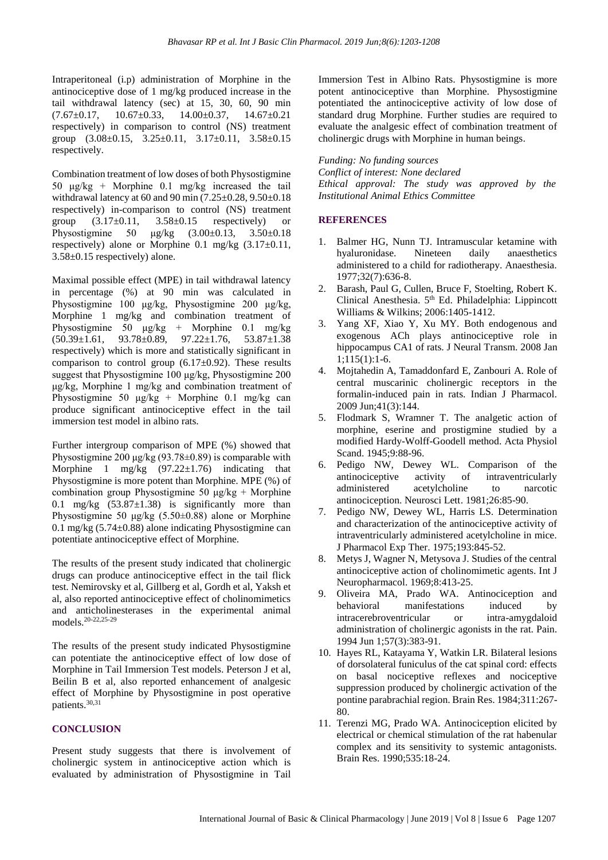Intraperitoneal (i.p) administration of Morphine in the antinociceptive dose of 1 mg/kg produced increase in the tail withdrawal latency (sec) at 15, 30, 60, 90 min  $(7.67\pm0.17, 10.67\pm0.33, 14.00\pm0.37, 14.67\pm0.21)$ respectively) in comparison to control (NS) treatment group (3.08±0.15, 3.25±0.11, 3.17±0.11, 3.58±0.15 respectively.

Combination treatment of low doses of both Physostigmine 50 μg/kg + Morphine 0.1 mg/kg increased the tail withdrawal latency at 60 and 90 min (7.25±0.28, 9.50±0.18 respectively) in-comparison to control (NS) treatment group  $(3.17\pm0.11, 3.58\pm0.15$  respectively or Physostigmine 50 μg/kg (3.00±0.13, 3.50±0.18 respectively) alone or Morphine 0.1 mg/kg  $(3.17\pm0.11,$ 3.58±0.15 respectively) alone.

Maximal possible effect (MPE) in tail withdrawal latency in percentage (%) at 90 min was calculated in Physostigmine 100 μg/kg, Physostigmine 200 μg/kg, Morphine 1 mg/kg and combination treatment of Physostigmine 50 μg/kg + Morphine 0.1 mg/kg  $(50.39 \pm 1.61, 93.78 \pm 0.89, 97.22 \pm 1.76, 53.87 \pm 1.38)$ respectively) which is more and statistically significant in comparison to control group  $(6.17\pm0.92)$ . These results suggest that Physostigmine 100 μg/kg, Physostigmine 200 μg/kg, Morphine 1 mg/kg and combination treatment of Physostigmine 50 μg/kg + Morphine 0.1 mg/kg can produce significant antinociceptive effect in the tail immersion test model in albino rats.

Further intergroup comparison of MPE (%) showed that Physostigmine 200 μg/kg  $(93.78\pm0.89)$  is comparable with Morphine 1 mg/kg (97.22±1.76) indicating that Physostigmine is more potent than Morphine. MPE (%) of combination group Physostigmine 50  $\mu$ g/kg + Morphine 0.1 mg/kg  $(53.87 \pm 1.38)$  is significantly more than Physostigmine 50  $\mu$ g/kg (5.50±0.88) alone or Morphine 0.1 mg/kg (5.74±0.88) alone indicating Physostigmine can potentiate antinociceptive effect of Morphine.

The results of the present study indicated that cholinergic drugs can produce antinociceptive effect in the tail flick test. Nemirovsky et al, Gillberg et al, Gordh et al, Yaksh et al, also reported antinociceptive effect of cholinomimetics and anticholinesterases in the experimental animal models.20-22,25-29

The results of the present study indicated Physostigmine can potentiate the antinociceptive effect of low dose of Morphine in Tail Immersion Test models. Peterson J et al, Beilin B et al, also reported enhancement of analgesic effect of Morphine by Physostigmine in post operative patients.30,31

#### **CONCLUSION**

Present study suggests that there is involvement of cholinergic system in antinociceptive action which is evaluated by administration of Physostigmine in Tail

Immersion Test in Albino Rats. Physostigmine is more potent antinociceptive than Morphine. Physostigmine potentiated the antinociceptive activity of low dose of standard drug Morphine. Further studies are required to evaluate the analgesic effect of combination treatment of cholinergic drugs with Morphine in human beings.

*Funding: No funding sources Conflict of interest: None declared Ethical approval: The study was approved by the Institutional Animal Ethics Committee*

#### **REFERENCES**

- 1. Balmer HG, Nunn TJ. Intramuscular ketamine with hyaluronidase. Nineteen daily anaesthetics administered to a child for radiotherapy. Anaesthesia. 1977;32(7):636-8.
- 2. Barash, Paul G, Cullen, Bruce F, Stoelting, Robert K. Clinical Anesthesia.  $5<sup>th</sup>$  Ed. Philadelphia: Lippincott Williams & Wilkins; 2006:1405-1412.
- 3. Yang XF, Xiao Y, Xu MY. Both endogenous and exogenous ACh plays antinociceptive role in hippocampus CA1 of rats. J Neural Transm. 2008 Jan 1;115(1):1-6.
- 4. Mojtahedin A, Tamaddonfard E, Zanbouri A. Role of central muscarinic cholinergic receptors in the formalin-induced pain in rats. Indian J Pharmacol. 2009 Jun;41(3):144.
- 5. Flodmark S, Wramner T. The analgetic action of morphine, eserine and prostigmine studied by a modified Hardy-Wolff-Goodell method. Acta Physiol Scand. 1945;9:88-96.
- 6. Pedigo NW, Dewey WL. Comparison of the antinociceptive activity of intraventricularly administered acetylcholine to narcotic antinociception. Neurosci Lett. 1981;26:85-90.
- 7. Pedigo NW, Dewey WL, Harris LS. Determination and characterization of the antinociceptive activity of intraventricularly administered acetylcholine in mice. J Pharmacol Exp Ther. 1975;193:845-52.
- 8. Metys J, Wagner N, Metysova J. Studies of the central antinociceptive action of cholinomimetic agents. Int J Neuropharmacol. 1969;8:413-25.
- 9. Oliveira MA, Prado WA. Antinociception and behavioral manifestations induced by intracerebroventricular or intra-amygdaloid administration of cholinergic agonists in the rat. Pain. 1994 Jun 1;57(3):383-91.
- 10. Hayes RL, Katayama Y, Watkin LR. Bilateral lesions of dorsolateral funiculus of the cat spinal cord: effects on basal nociceptive reflexes and nociceptive suppression produced by cholinergic activation of the pontine parabrachial region. Brain Res. 1984;311:267- 80.
- 11. Terenzi MG, Prado WA. Antinociception elicited by electrical or chemical stimulation of the rat habenular complex and its sensitivity to systemic antagonists. Brain Res. 1990;535:18-24.